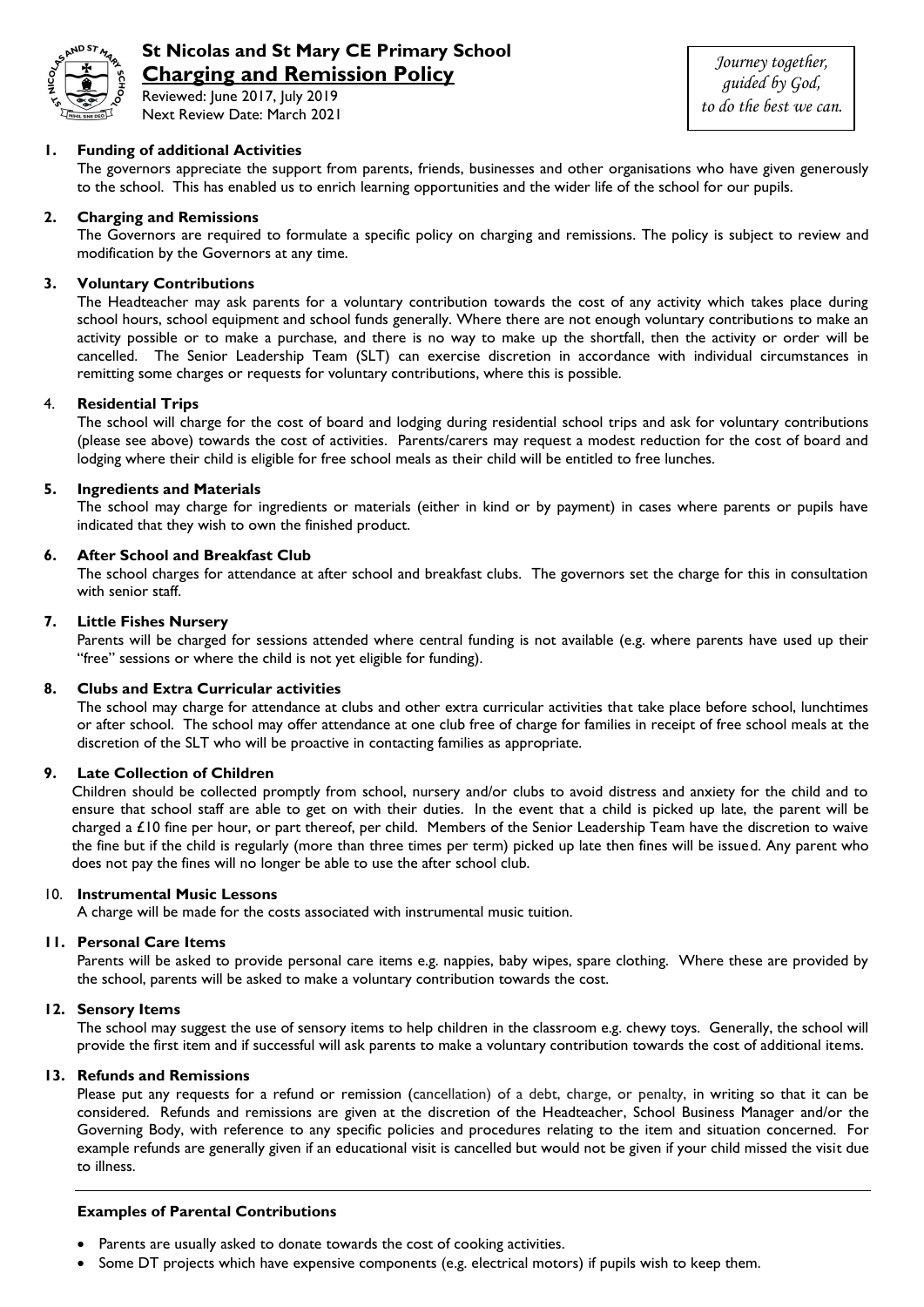

# **St Nicolas and St Mary CE Primary School Charging and Remission Policy**

Reviewed: June 2017, July 2019 Next Review Date: March 2021

*Journey together, guided by God, to do the best we can.*

## **1. Funding of additional Activities**

The governors appreciate the support from parents, friends, businesses and other organisations who have given generously to the school. This has enabled us to enrich learning opportunities and the wider life of the school for our pupils.

#### **2. Charging and Remissions**

The Governors are required to formulate a specific policy on charging and remissions. The policy is subject to review and modification by the Governors at any time.

## **3. Voluntary Contributions**

The Headteacher may ask parents for a voluntary contribution towards the cost of any activity which takes place during school hours, school equipment and school funds generally. Where there are not enough voluntary contributions to make an activity possible or to make a purchase, and there is no way to make up the shortfall, then the activity or order will be cancelled. The Senior Leadership Team (SLT) can exercise discretion in accordance with individual circumstances in remitting some charges or requests for voluntary contributions, where this is possible.

#### 4. **Residential Trips**

The school will charge for the cost of board and lodging during residential school trips and ask for voluntary contributions (please see above) towards the cost of activities. Parents/carers may request a modest reduction for the cost of board and lodging where their child is eligible for free school meals as their child will be entitled to free lunches.

## **5. Ingredients and Materials**

The school may charge for ingredients or materials (either in kind or by payment) in cases where parents or pupils have indicated that they wish to own the finished product.

## **6. After School and Breakfast Club**

The school charges for attendance at after school and breakfast clubs. The governors set the charge for this in consultation with senior staff.

## **7. Little Fishes Nursery**

Parents will be charged for sessions attended where central funding is not available (e.g. where parents have used up their "free" sessions or where the child is not yet eligible for funding).

#### **8. Clubs and Extra Curricular activities**

The school may charge for attendance at clubs and other extra curricular activities that take place before school, lunchtimes or after school. The school may offer attendance at one club free of charge for families in receipt of free school meals at the discretion of the SLT who will be proactive in contacting families as appropriate.

#### **9. Late Collection of Children**

Children should be collected promptly from school, nursery and/or clubs to avoid distress and anxiety for the child and to ensure that school staff are able to get on with their duties. In the event that a child is picked up late, the parent will be charged a £10 fine per hour, or part thereof, per child. Members of the Senior Leadership Team have the discretion to waive the fine but if the child is regularly (more than three times per term) picked up late then fines will be issued. Any parent who does not pay the fines will no longer be able to use the after school club.

#### 10. **Instrumental Music Lessons**

A charge will be made for the costs associated with instrumental music tuition.

## **11. Personal Care Items**

Parents will be asked to provide personal care items e.g. nappies, baby wipes, spare clothing. Where these are provided by the school, parents will be asked to make a voluntary contribution towards the cost.

#### **12. Sensory Items**

The school may suggest the use of sensory items to help children in the classroom e.g. chewy toys. Generally, the school will provide the first item and if successful will ask parents to make a voluntary contribution towards the cost of additional items.

#### **13. Refunds and Remissions**

Please put any requests for a refund or remission (cancellation) of a debt, charge, or penalty, in writing so that it can be considered. Refunds and remissions are given at the discretion of the Headteacher, School Business Manager and/or the Governing Body, with reference to any specific policies and procedures relating to the item and situation concerned. For example refunds are generally given if an educational visit is cancelled but would not be given if your child missed the visit due to illness.

## **Examples of Parental Contributions**

- Parents are usually asked to donate towards the cost of cooking activities.
- Some DT projects which have expensive components (e.g. electrical motors) if pupils wish to keep them.